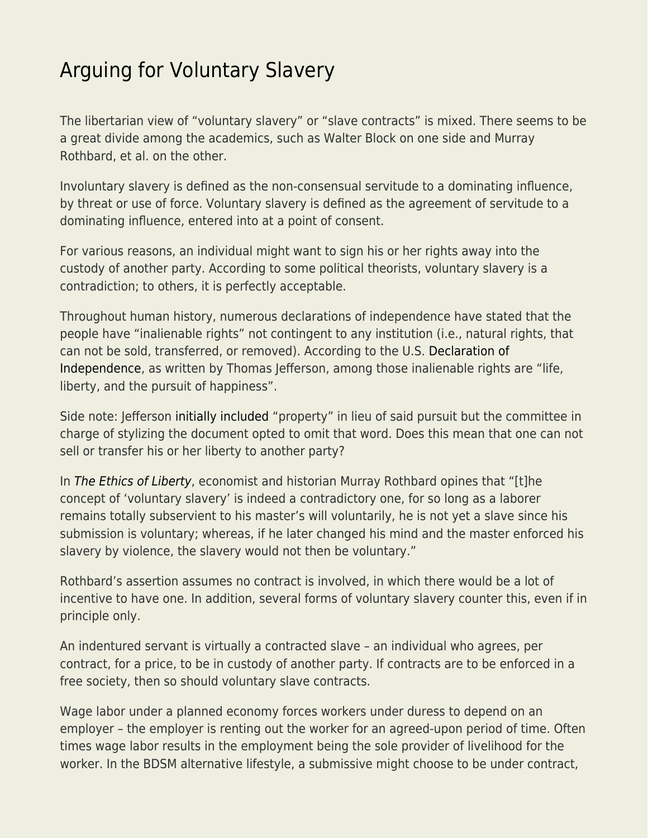## [Arguing for Voluntary Slavery](https://everything-voluntary.com/arguing-voluntary-slavery)

The libertarian view of "voluntary slavery" or "slave contracts" is mixed. There seems to be a great divide among the academics, such as Walter Block on one side and Murray Rothbard, et al. on the other.

Involuntary slavery is defined as the non-consensual servitude to a dominating influence, by threat or use of force. Voluntary slavery is defined as the agreement of servitude to a dominating influence, entered into at a point of consent.

For various reasons, an individual might want to sign his or her rights away into the custody of another party. According to some political theorists, voluntary slavery is a contradiction; to others, it is perfectly acceptable.

Throughout human history, numerous declarations of independence have stated that the people have "inalienable rights" not contingent to any institution (i.e., natural rights, that can not be sold, transferred, or removed). According to the U.S. [Declaration of](https://web.archive.org/web/20171002230948/http://avalon.law.yale.edu/18th_century/declare.asp) [Independence](https://web.archive.org/web/20171002230948/http://avalon.law.yale.edu/18th_century/declare.asp), as written by Thomas Jefferson, among those inalienable rights are "life, liberty, and the pursuit of happiness".

Side note: Jefferson [initially included](https://fee.org/resources/letter-from-rose-wilder-lane-to-leonard-read-april-25-1950/) "property" in lieu of said pursuit but the committee in charge of stylizing the document opted to omit that word. Does this mean that one can not sell or transfer his or her liberty to another party?

In [The Ethics of Liberty](https://www.amazon.com/Ethics-Liberty-Murray-N-Rothbard/dp/0814775594), economist and historian Murray Rothbard opines that "[t]he concept of 'voluntary slavery' is indeed a contradictory one, for so long as a laborer remains totally subservient to his master's will voluntarily, he is not yet a slave since his submission is voluntary; whereas, if he later changed his mind and the master enforced his slavery by violence, the slavery would not then be voluntary."

Rothbard's assertion assumes no contract is involved, in which there would be a lot of incentive to have one. In addition, several forms of voluntary slavery counter this, even if in principle only.

An indentured servant is virtually a contracted slave – an individual who agrees, per contract, for a price, to be in custody of another party. If contracts are to be enforced in a free society, then so should voluntary slave contracts.

Wage labor under a planned economy forces workers under duress to depend on an employer – the employer is renting out the worker for an agreed-upon period of time. Often times wage labor results in the employment being the sole provider of livelihood for the worker. In the BDSM alternative lifestyle, a submissive might choose to be under contract,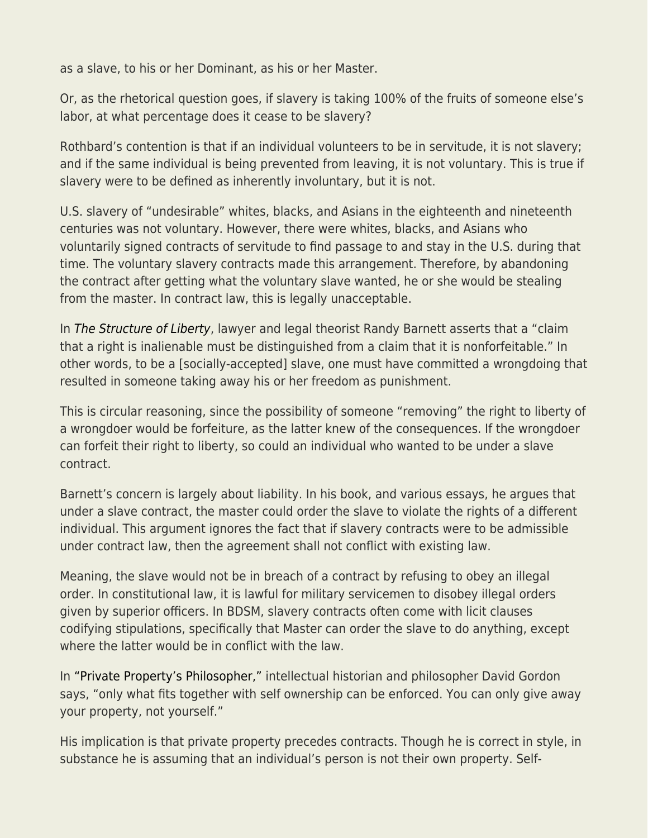as a slave, to his or her Dominant, as his or her Master.

Or, as the rhetorical question goes, if slavery is taking 100% of the fruits of someone else's labor, at what percentage does it cease to be slavery?

Rothbard's contention is that if an individual volunteers to be in servitude, it is not slavery; and if the same individual is being prevented from leaving, it is not voluntary. This is true if slavery were to be defined as inherently involuntary, but it is not.

U.S. slavery of "undesirable" whites, blacks, and Asians in the eighteenth and nineteenth centuries was not voluntary. However, there were whites, blacks, and Asians who voluntarily signed contracts of servitude to find passage to and stay in the U.S. during that time. The voluntary slavery contracts made this arrangement. Therefore, by abandoning the contract after getting what the voluntary slave wanted, he or she would be stealing from the master. In contract law, this is legally unacceptable.

In [The Structure of Liberty](https://www.amazon.com/Structure-Liberty-Justice-Rule-Law/dp/019870092X/ref=sr_1_1?s=books&ie=UTF8&qid=1480287625&sr=1-1&keywords=structure+of+liberty), lawyer and legal theorist Randy Barnett asserts that a "claim that a right is inalienable must be distinguished from a claim that it is nonforfeitable." In other words, to be a [socially-accepted] slave, one must have committed a wrongdoing that resulted in someone taking away his or her freedom as punishment.

This is circular reasoning, since the possibility of someone "removing" the right to liberty of a wrongdoer would be forfeiture, as the latter knew of the consequences. If the wrongdoer can forfeit their right to liberty, so could an individual who wanted to be under a slave contract.

Barnett's concern is largely about liability. In his book, and various essays, he argues that under a slave contract, the master could order the slave to violate the rights of a different individual. This argument ignores the fact that if slavery contracts were to be admissible under contract law, then the agreement shall not conflict with existing law.

Meaning, the slave would not be in breach of a contract by refusing to obey an illegal order. In constitutional law, it is lawful for military servicemen to disobey illegal orders given by superior officers. In BDSM, slavery contracts often come with licit clauses codifying stipulations, specifically that Master can order the slave to do anything, except where the latter would be in conflict with the law.

In ["Private Property's Philosopher,"](https://mises.org/library/private-propertys-philosopher) intellectual historian and philosopher David Gordon says, "only what fits together with self ownership can be enforced. You can only give away your property, not yourself."

His implication is that private property precedes contracts. Though he is correct in style, in substance he is assuming that an individual's person is not their own property. Self-